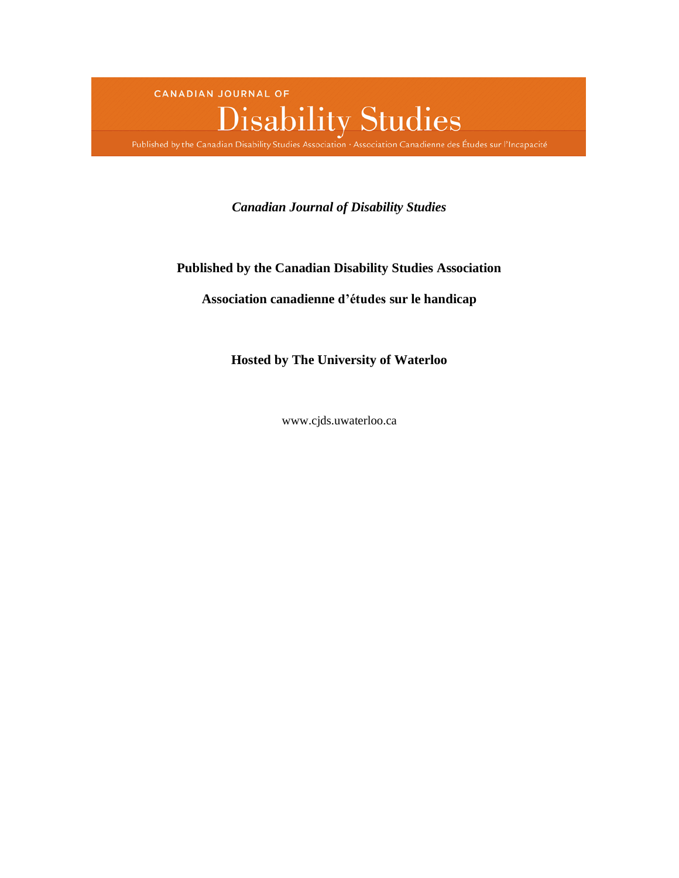

# *Canadian Journal of Disability Studies*

# **Published by the Canadian Disability Studies Association**

# **Association canadienne d'études sur le handicap**

**Hosted by The University of Waterloo**

www.cjds.uwaterloo.ca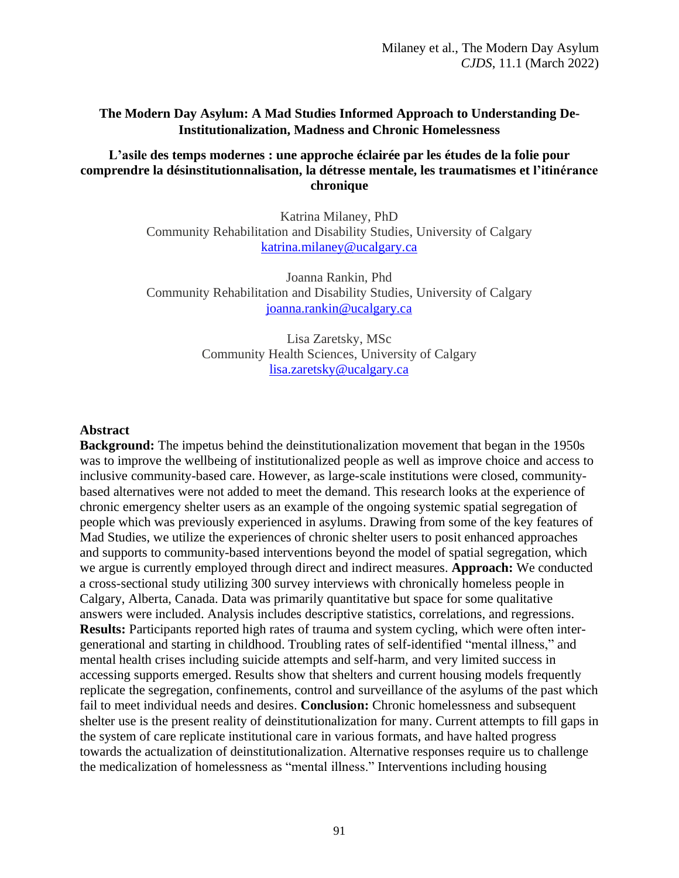# **The Modern Day Asylum: A Mad Studies Informed Approach to Understanding De-Institutionalization, Madness and Chronic Homelessness**

# **L'asile des temps modernes : une approche éclairée par les études de la folie pour comprendre la désinstitutionnalisation, la détresse mentale, les traumatismes et l'itinérance chronique**

Katrina Milaney, PhD Community Rehabilitation and Disability Studies, University of Calgary [katrina.milaney@ucalgary.ca](mailto:katrina.milaney@ucalgary.ca)

Joanna Rankin, Phd Community Rehabilitation and Disability Studies, University of Calgary [joanna.rankin@ucalgary.ca](mailto:joanna.rankin@ucalgary.ca)

> Lisa Zaretsky, MSc Community Health Sciences, University of Calgary [lisa.zaretsky@ucalgary.ca](mailto:lisa.zaretsky@ucalgary.ca)

### **Abstract**

**Background:** The impetus behind the deinstitutionalization movement that began in the 1950s was to improve the wellbeing of institutionalized people as well as improve choice and access to inclusive community-based care. However, as large-scale institutions were closed, communitybased alternatives were not added to meet the demand. This research looks at the experience of chronic emergency shelter users as an example of the ongoing systemic spatial segregation of people which was previously experienced in asylums. Drawing from some of the key features of Mad Studies, we utilize the experiences of chronic shelter users to posit enhanced approaches and supports to community-based interventions beyond the model of spatial segregation, which we argue is currently employed through direct and indirect measures. **Approach:** We conducted a cross-sectional study utilizing 300 survey interviews with chronically homeless people in Calgary, Alberta, Canada. Data was primarily quantitative but space for some qualitative answers were included. Analysis includes descriptive statistics, correlations, and regressions. **Results:** Participants reported high rates of trauma and system cycling, which were often intergenerational and starting in childhood. Troubling rates of self-identified "mental illness," and mental health crises including suicide attempts and self-harm, and very limited success in accessing supports emerged. Results show that shelters and current housing models frequently replicate the segregation, confinements, control and surveillance of the asylums of the past which fail to meet individual needs and desires. **Conclusion:** Chronic homelessness and subsequent shelter use is the present reality of deinstitutionalization for many. Current attempts to fill gaps in the system of care replicate institutional care in various formats, and have halted progress towards the actualization of deinstitutionalization. Alternative responses require us to challenge the medicalization of homelessness as "mental illness." Interventions including housing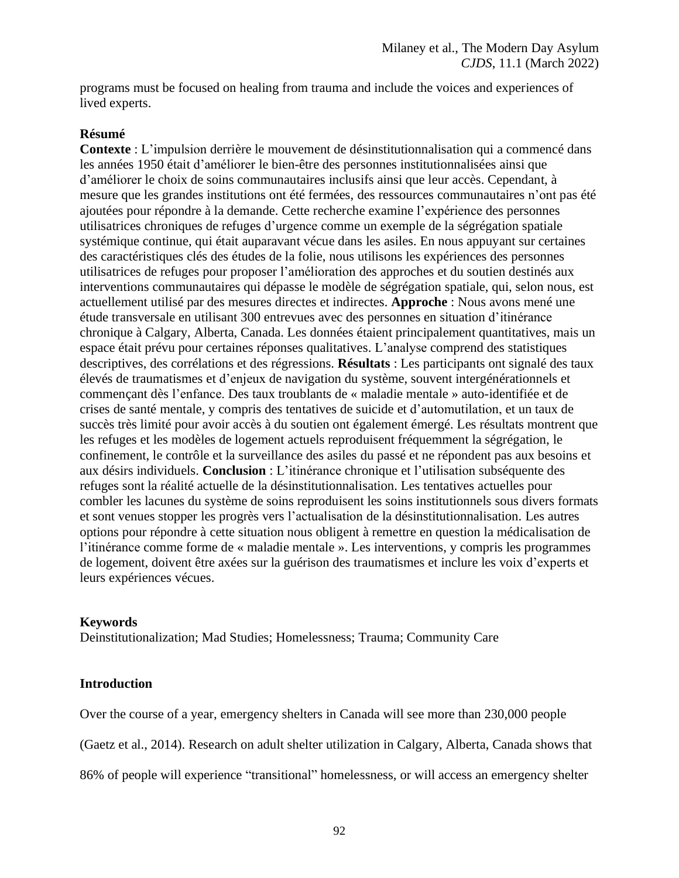programs must be focused on healing from trauma and include the voices and experiences of lived experts.

# **Résumé**

**Contexte** : L'impulsion derrière le mouvement de désinstitutionnalisation qui a commencé dans les années 1950 était d'améliorer le bien-être des personnes institutionnalisées ainsi que d'améliorer le choix de soins communautaires inclusifs ainsi que leur accès. Cependant, à mesure que les grandes institutions ont été fermées, des ressources communautaires n'ont pas été ajoutées pour répondre à la demande. Cette recherche examine l'expérience des personnes utilisatrices chroniques de refuges d'urgence comme un exemple de la ségrégation spatiale systémique continue, qui était auparavant vécue dans les asiles. En nous appuyant sur certaines des caractéristiques clés des études de la folie, nous utilisons les expériences des personnes utilisatrices de refuges pour proposer l'amélioration des approches et du soutien destinés aux interventions communautaires qui dépasse le modèle de ségrégation spatiale, qui, selon nous, est actuellement utilisé par des mesures directes et indirectes. **Approche** : Nous avons mené une étude transversale en utilisant 300 entrevues avec des personnes en situation d'itinérance chronique à Calgary, Alberta, Canada. Les données étaient principalement quantitatives, mais un espace était prévu pour certaines réponses qualitatives. L'analyse comprend des statistiques descriptives, des corrélations et des régressions. **Résultats** : Les participants ont signalé des taux élevés de traumatismes et d'enjeux de navigation du système, souvent intergénérationnels et commençant dès l'enfance. Des taux troublants de « maladie mentale » auto-identifiée et de crises de santé mentale, y compris des tentatives de suicide et d'automutilation, et un taux de succès très limité pour avoir accès à du soutien ont également émergé. Les résultats montrent que les refuges et les modèles de logement actuels reproduisent fréquemment la ségrégation, le confinement, le contrôle et la surveillance des asiles du passé et ne répondent pas aux besoins et aux désirs individuels. **Conclusion** : L'itinérance chronique et l'utilisation subséquente des refuges sont la réalité actuelle de la désinstitutionnalisation. Les tentatives actuelles pour combler les lacunes du système de soins reproduisent les soins institutionnels sous divers formats et sont venues stopper les progrès vers l'actualisation de la désinstitutionnalisation. Les autres options pour répondre à cette situation nous obligent à remettre en question la médicalisation de l'itinérance comme forme de « maladie mentale ». Les interventions, y compris les programmes de logement, doivent être axées sur la guérison des traumatismes et inclure les voix d'experts et leurs expériences vécues.

# **Keywords**

Deinstitutionalization; Mad Studies; Homelessness; Trauma; Community Care

# **Introduction**

Over the course of a year, emergency shelters in Canada will see more than 230,000 people

(Gaetz et al., 2014). Research on adult shelter utilization in Calgary, Alberta, Canada shows that

86% of people will experience "transitional" homelessness, or will access an emergency shelter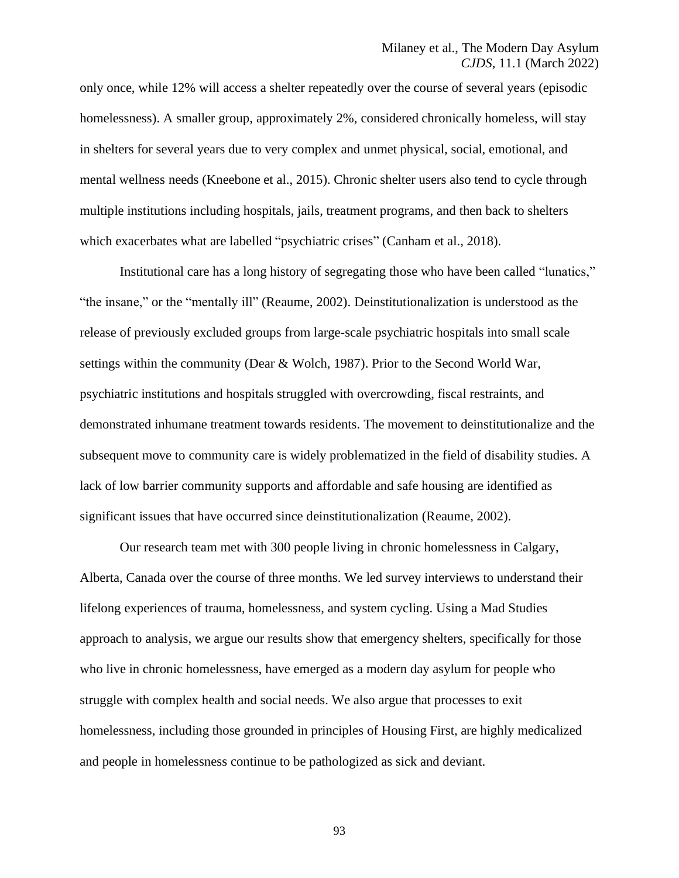only once, while 12% will access a shelter repeatedly over the course of several years (episodic homelessness). A smaller group, approximately 2%, considered chronically homeless, will stay in shelters for several years due to very complex and unmet physical, social, emotional, and mental wellness needs (Kneebone et al., 2015). Chronic shelter users also tend to cycle through multiple institutions including hospitals, jails, treatment programs, and then back to shelters which exacerbates what are labelled "psychiatric crises" (Canham et al., 2018).

Institutional care has a long history of segregating those who have been called "lunatics," "the insane," or the "mentally ill" (Reaume, 2002). Deinstitutionalization is understood as the release of previously excluded groups from large-scale psychiatric hospitals into small scale settings within the community (Dear & Wolch, 1987). Prior to the Second World War, psychiatric institutions and hospitals struggled with overcrowding, fiscal restraints, and demonstrated inhumane treatment towards residents. The movement to deinstitutionalize and the subsequent move to community care is widely problematized in the field of disability studies. A lack of low barrier community supports and affordable and safe housing are identified as significant issues that have occurred since deinstitutionalization (Reaume, 2002).

Our research team met with 300 people living in chronic homelessness in Calgary, Alberta, Canada over the course of three months. We led survey interviews to understand their lifelong experiences of trauma, homelessness, and system cycling. Using a Mad Studies approach to analysis, we argue our results show that emergency shelters, specifically for those who live in chronic homelessness, have emerged as a modern day asylum for people who struggle with complex health and social needs. We also argue that processes to exit homelessness, including those grounded in principles of Housing First, are highly medicalized and people in homelessness continue to be pathologized as sick and deviant.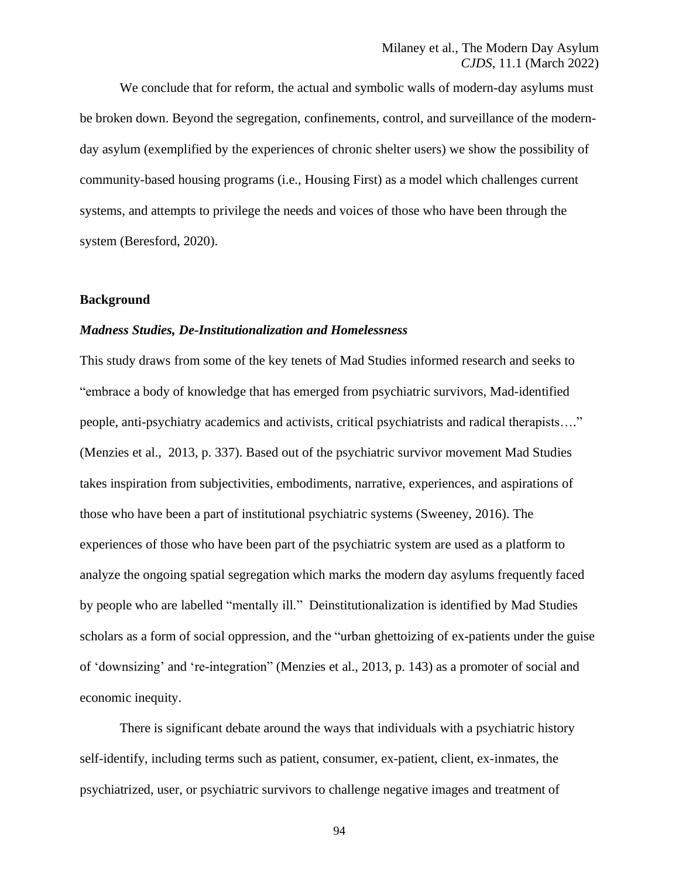Milaney et al., The Modern Day Asylum *CJDS*, 11.1 (March 2022)

We conclude that for reform, the actual and symbolic walls of modern-day asylums must be broken down. Beyond the segregation, confinements, control, and surveillance of the modernday asylum (exemplified by the experiences of chronic shelter users) we show the possibility of community-based housing programs (i.e., Housing First) as a model which challenges current systems, and attempts to privilege the needs and voices of those who have been through the system (Beresford, 2020).

## **Background**

#### *Madness Studies, De-Institutionalization and Homelessness*

This study draws from some of the key tenets of Mad Studies informed research and seeks to "embrace a body of knowledge that has emerged from psychiatric survivors, Mad-identified people, anti-psychiatry academics and activists, critical psychiatrists and radical therapists…." (Menzies et al., 2013, p. 337). Based out of the psychiatric survivor movement Mad Studies takes inspiration from subjectivities, embodiments, narrative, experiences, and aspirations of those who have been a part of institutional psychiatric systems (Sweeney, 2016). The experiences of those who have been part of the psychiatric system are used as a platform to analyze the ongoing spatial segregation which marks the modern day asylums frequently faced by people who are labelled "mentally ill." Deinstitutionalization is identified by Mad Studies scholars as a form of social oppression, and the "urban ghettoizing of ex-patients under the guise of 'downsizing' and 're-integration" (Menzies et al., 2013, p. 143) as a promoter of social and economic inequity.

There is significant debate around the ways that individuals with a psychiatric history self-identify, including terms such as patient, consumer, ex-patient, client, ex-inmates, the psychiatrized, user, or psychiatric survivors to challenge negative images and treatment of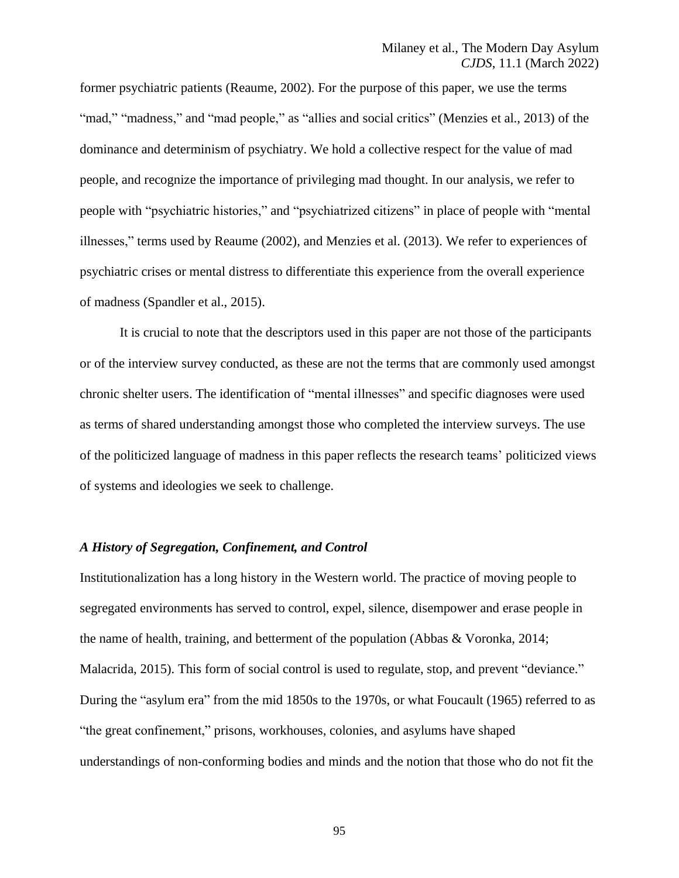former psychiatric patients (Reaume, 2002). For the purpose of this paper, we use the terms "mad," "madness," and "mad people," as "allies and social critics" (Menzies et al., 2013) of the dominance and determinism of psychiatry. We hold a collective respect for the value of mad people, and recognize the importance of privileging mad thought. In our analysis, we refer to people with "psychiatric histories," and "psychiatrized citizens" in place of people with "mental illnesses," terms used by Reaume (2002), and Menzies et al. (2013). We refer to experiences of psychiatric crises or mental distress to differentiate this experience from the overall experience of madness (Spandler et al., 2015).

It is crucial to note that the descriptors used in this paper are not those of the participants or of the interview survey conducted, as these are not the terms that are commonly used amongst chronic shelter users. The identification of "mental illnesses" and specific diagnoses were used as terms of shared understanding amongst those who completed the interview surveys. The use of the politicized language of madness in this paper reflects the research teams' politicized views of systems and ideologies we seek to challenge.

#### *A History of Segregation, Confinement, and Control*

Institutionalization has a long history in the Western world. The practice of moving people to segregated environments has served to control, expel, silence, disempower and erase people in the name of health, training, and betterment of the population (Abbas & Voronka, 2014; Malacrida, 2015). This form of social control is used to regulate, stop, and prevent "deviance." During the "asylum era" from the mid 1850s to the 1970s, or what Foucault (1965) referred to as "the great confinement," prisons, workhouses, colonies, and asylums have shaped understandings of non-conforming bodies and minds and the notion that those who do not fit the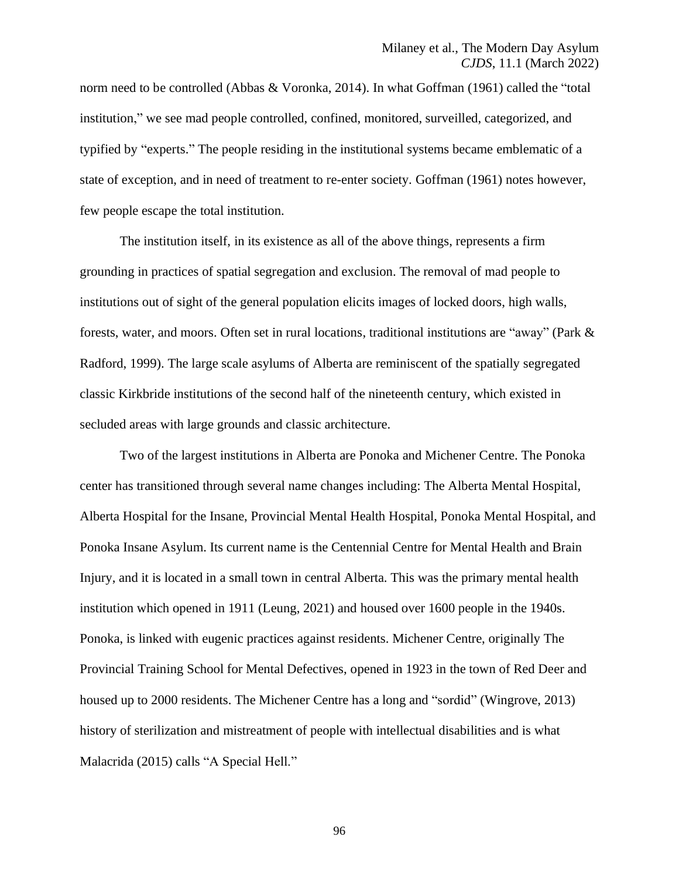norm need to be controlled (Abbas & Voronka, 2014). In what Goffman (1961) called the "total institution," we see mad people controlled, confined, monitored, surveilled, categorized, and typified by "experts." The people residing in the institutional systems became emblematic of a state of exception, and in need of treatment to re-enter society. Goffman (1961) notes however, few people escape the total institution.

The institution itself, in its existence as all of the above things, represents a firm grounding in practices of spatial segregation and exclusion. The removal of mad people to institutions out of sight of the general population elicits images of locked doors, high walls, forests, water, and moors. Often set in rural locations, traditional institutions are "away" (Park & Radford, 1999). The large scale asylums of Alberta are reminiscent of the spatially segregated classic Kirkbride institutions of the second half of the nineteenth century, which existed in secluded areas with large grounds and classic architecture.

Two of the largest institutions in Alberta are Ponoka and Michener Centre. The Ponoka center has transitioned through several name changes including: The Alberta Mental Hospital, Alberta Hospital for the Insane, Provincial Mental Health Hospital, Ponoka Mental Hospital, and Ponoka Insane Asylum. Its current name is the Centennial Centre for Mental Health and Brain Injury, and it is located in a small town in central Alberta. This was the primary mental health institution which opened in 1911 (Leung, 2021) and housed over 1600 people in the 1940s. Ponoka, is linked with eugenic practices against residents. Michener Centre, originally The Provincial Training School for Mental Defectives, opened in 1923 in the town of Red Deer and housed up to 2000 residents. The Michener Centre has a long and "sordid" (Wingrove, 2013) history of sterilization and mistreatment of people with intellectual disabilities and is what Malacrida (2015) calls "A Special Hell."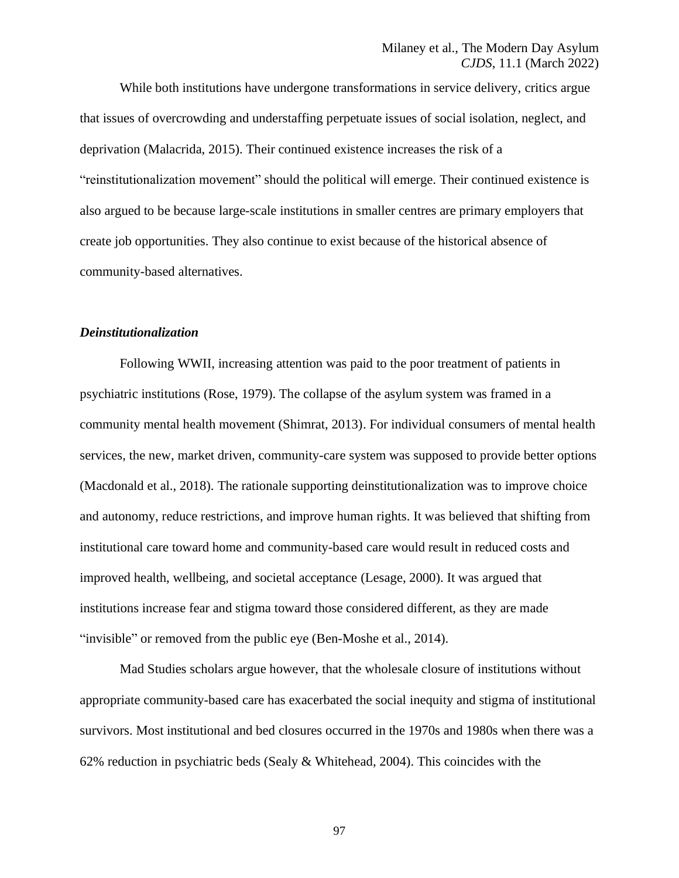While both institutions have undergone transformations in service delivery, critics argue that issues of overcrowding and understaffing perpetuate issues of social isolation, neglect, and deprivation (Malacrida, 2015). Their continued existence increases the risk of a "reinstitutionalization movement" should the political will emerge. Their continued existence is also argued to be because large-scale institutions in smaller centres are primary employers that create job opportunities. They also continue to exist because of the historical absence of community-based alternatives.

#### *Deinstitutionalization*

Following WWII, increasing attention was paid to the poor treatment of patients in psychiatric institutions (Rose, 1979). The collapse of the asylum system was framed in a community mental health movement (Shimrat, 2013). For individual consumers of mental health services, the new, market driven, community-care system was supposed to provide better options (Macdonald et al., 2018). The rationale supporting deinstitutionalization was to improve choice and autonomy, reduce restrictions, and improve human rights. It was believed that shifting from institutional care toward home and community-based care would result in reduced costs and improved health, wellbeing, and societal acceptance (Lesage, 2000). It was argued that institutions increase fear and stigma toward those considered different, as they are made "invisible" or removed from the public eye (Ben-Moshe et al., 2014).

Mad Studies scholars argue however, that the wholesale closure of institutions without appropriate community-based care has exacerbated the social inequity and stigma of institutional survivors. Most institutional and bed closures occurred in the 1970s and 1980s when there was a 62% reduction in psychiatric beds (Sealy & Whitehead, 2004). This coincides with the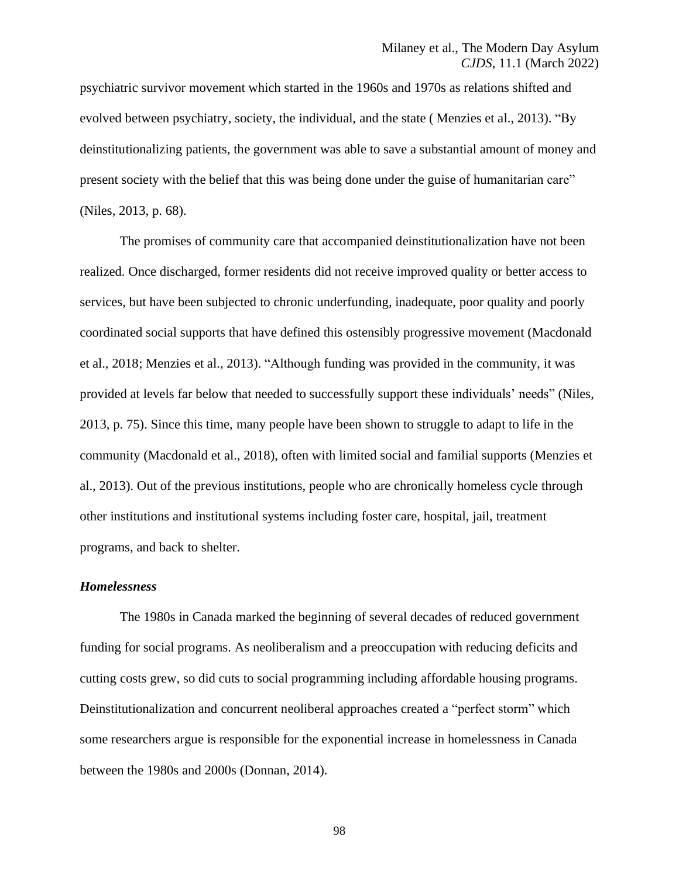psychiatric survivor movement which started in the 1960s and 1970s as relations shifted and evolved between psychiatry, society, the individual, and the state ( Menzies et al., 2013). "By deinstitutionalizing patients, the government was able to save a substantial amount of money and present society with the belief that this was being done under the guise of humanitarian care" (Niles, 2013, p. 68).

The promises of community care that accompanied deinstitutionalization have not been realized. Once discharged, former residents did not receive improved quality or better access to services, but have been subjected to chronic underfunding, inadequate, poor quality and poorly coordinated social supports that have defined this ostensibly progressive movement (Macdonald et al., 2018; Menzies et al., 2013). "Although funding was provided in the community, it was provided at levels far below that needed to successfully support these individuals' needs" (Niles, 2013, p. 75). Since this time, many people have been shown to struggle to adapt to life in the community (Macdonald et al., 2018), often with limited social and familial supports (Menzies et al., 2013). Out of the previous institutions, people who are chronically homeless cycle through other institutions and institutional systems including foster care, hospital, jail, treatment programs, and back to shelter.

### *Homelessness*

The 1980s in Canada marked the beginning of several decades of reduced government funding for social programs. As neoliberalism and a preoccupation with reducing deficits and cutting costs grew, so did cuts to social programming including affordable housing programs. Deinstitutionalization and concurrent neoliberal approaches created a "perfect storm" which some researchers argue is responsible for the exponential increase in homelessness in Canada between the 1980s and 2000s (Donnan, 2014).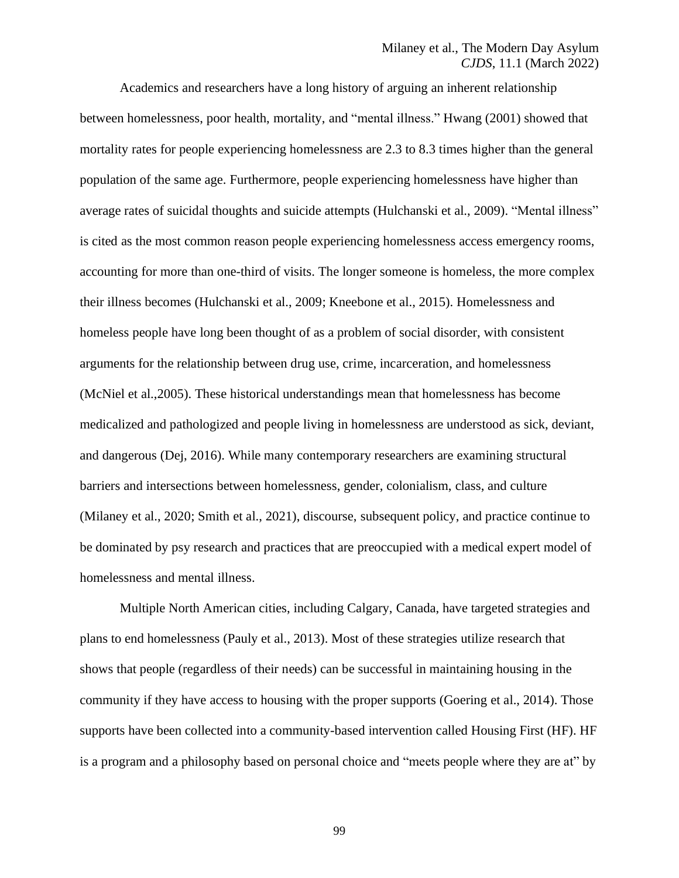Academics and researchers have a long history of arguing an inherent relationship between homelessness, poor health, mortality, and "mental illness." Hwang (2001) showed that mortality rates for people experiencing homelessness are 2.3 to 8.3 times higher than the general population of the same age. Furthermore, people experiencing homelessness have higher than average rates of suicidal thoughts and suicide attempts (Hulchanski et al., 2009). "Mental illness" is cited as the most common reason people experiencing homelessness access emergency rooms, accounting for more than one-third of visits. The longer someone is homeless, the more complex their illness becomes (Hulchanski et al., 2009; Kneebone et al., 2015). Homelessness and homeless people have long been thought of as a problem of social disorder, with consistent arguments for the relationship between drug use, crime, incarceration, and homelessness (McNiel et al.,2005). These historical understandings mean that homelessness has become medicalized and pathologized and people living in homelessness are understood as sick, deviant, and dangerous (Dej, 2016). While many contemporary researchers are examining structural barriers and intersections between homelessness, gender, colonialism, class, and culture (Milaney et al., 2020; Smith et al., 2021), discourse, subsequent policy, and practice continue to be dominated by psy research and practices that are preoccupied with a medical expert model of homelessness and mental illness.

Multiple North American cities, including Calgary, Canada, have targeted strategies and plans to end homelessness (Pauly et al., 2013). Most of these strategies utilize research that shows that people (regardless of their needs) can be successful in maintaining housing in the community if they have access to housing with the proper supports (Goering et al., 2014). Those supports have been collected into a community-based intervention called Housing First (HF). HF is a program and a philosophy based on personal choice and "meets people where they are at" by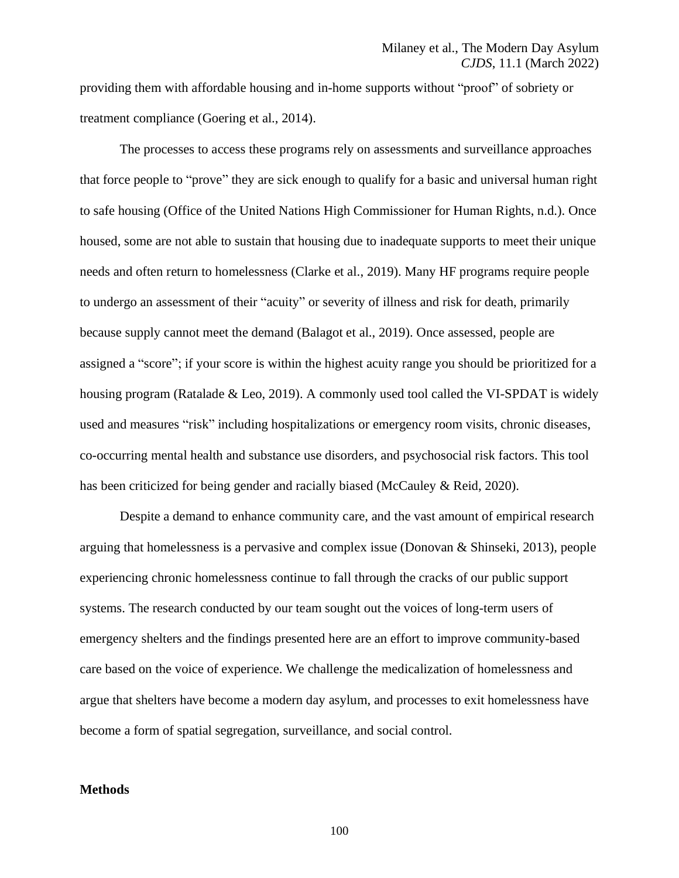providing them with affordable housing and in-home supports without "proof" of sobriety or treatment compliance (Goering et al., 2014).

The processes to access these programs rely on assessments and surveillance approaches that force people to "prove" they are sick enough to qualify for a basic and universal human right to safe housing (Office of the United Nations High Commissioner for Human Rights, n.d.). Once housed, some are not able to sustain that housing due to inadequate supports to meet their unique needs and often return to homelessness (Clarke et al., 2019). Many HF programs require people to undergo an assessment of their "acuity" or severity of illness and risk for death, primarily because supply cannot meet the demand (Balagot et al., 2019). Once assessed, people are assigned a "score"; if your score is within the highest acuity range you should be prioritized for a housing program (Ratalade & Leo, 2019). A commonly used tool called the VI-SPDAT is widely used and measures "risk" including hospitalizations or emergency room visits, chronic diseases, co-occurring mental health and substance use disorders, and psychosocial risk factors. This tool has been criticized for being gender and racially biased (McCauley & Reid, 2020).

Despite a demand to enhance community care, and the vast amount of empirical research arguing that homelessness is a pervasive and complex issue (Donovan & Shinseki, 2013), people experiencing chronic homelessness continue to fall through the cracks of our public support systems. The research conducted by our team sought out the voices of long-term users of emergency shelters and the findings presented here are an effort to improve community-based care based on the voice of experience. We challenge the medicalization of homelessness and argue that shelters have become a modern day asylum, and processes to exit homelessness have become a form of spatial segregation, surveillance, and social control.

### **Methods**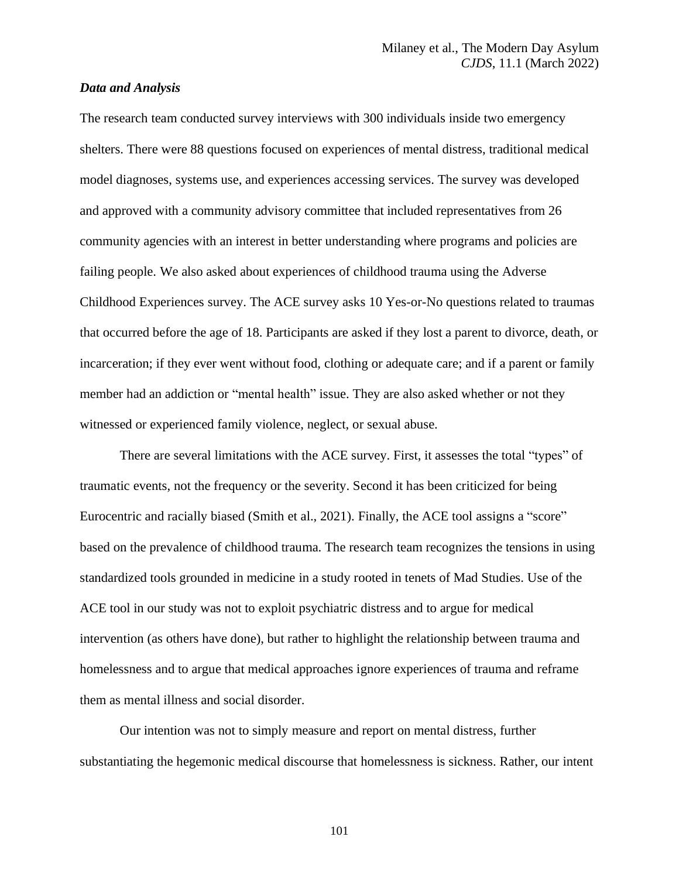## *Data and Analysis*

The research team conducted survey interviews with 300 individuals inside two emergency shelters. There were 88 questions focused on experiences of mental distress, traditional medical model diagnoses, systems use, and experiences accessing services. The survey was developed and approved with a community advisory committee that included representatives from 26 community agencies with an interest in better understanding where programs and policies are failing people. We also asked about experiences of childhood trauma using the Adverse Childhood Experiences survey. The ACE survey asks 10 Yes-or-No questions related to traumas that occurred before the age of 18. Participants are asked if they lost a parent to divorce, death, or incarceration; if they ever went without food, clothing or adequate care; and if a parent or family member had an addiction or "mental health" issue. They are also asked whether or not they witnessed or experienced family violence, neglect, or sexual abuse.

There are several limitations with the ACE survey. First, it assesses the total "types" of traumatic events, not the frequency or the severity. Second it has been criticized for being Eurocentric and racially biased (Smith et al., 2021). Finally, the ACE tool assigns a "score" based on the prevalence of childhood trauma. The research team recognizes the tensions in using standardized tools grounded in medicine in a study rooted in tenets of Mad Studies. Use of the ACE tool in our study was not to exploit psychiatric distress and to argue for medical intervention (as others have done), but rather to highlight the relationship between trauma and homelessness and to argue that medical approaches ignore experiences of trauma and reframe them as mental illness and social disorder.

Our intention was not to simply measure and report on mental distress, further substantiating the hegemonic medical discourse that homelessness is sickness. Rather, our intent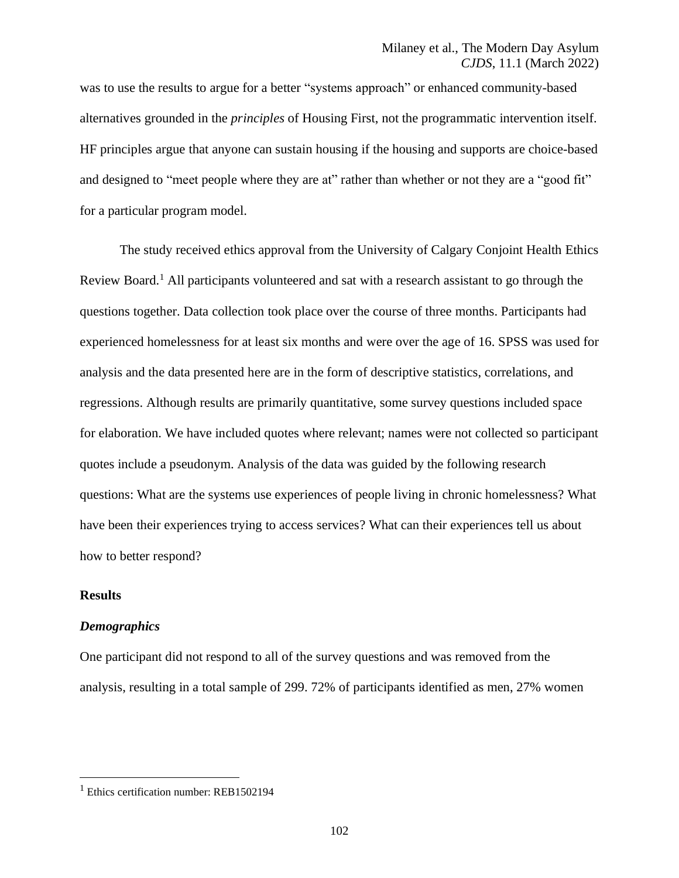was to use the results to argue for a better "systems approach" or enhanced community-based alternatives grounded in the *principles* of Housing First, not the programmatic intervention itself. HF principles argue that anyone can sustain housing if the housing and supports are choice-based and designed to "meet people where they are at" rather than whether or not they are a "good fit" for a particular program model.

The study received ethics approval from the University of Calgary Conjoint Health Ethics Review Board.<sup>1</sup> All participants volunteered and sat with a research assistant to go through the questions together. Data collection took place over the course of three months. Participants had experienced homelessness for at least six months and were over the age of 16. SPSS was used for analysis and the data presented here are in the form of descriptive statistics, correlations, and regressions. Although results are primarily quantitative, some survey questions included space for elaboration. We have included quotes where relevant; names were not collected so participant quotes include a pseudonym. Analysis of the data was guided by the following research questions: What are the systems use experiences of people living in chronic homelessness? What have been their experiences trying to access services? What can their experiences tell us about how to better respond?

#### **Results**

#### *Demographics*

One participant did not respond to all of the survey questions and was removed from the analysis, resulting in a total sample of 299. 72% of participants identified as men, 27% women

 $1$  Ethics certification number: REB1502194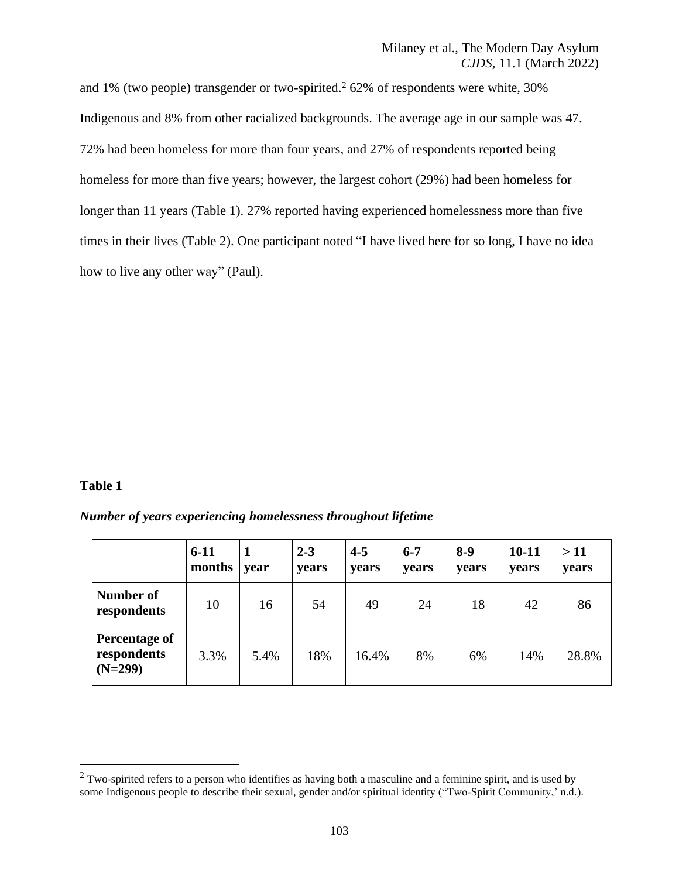and 1% (two people) transgender or two-spirited.<sup>2</sup> 62% of respondents were white,  $30\%$ Indigenous and 8% from other racialized backgrounds. The average age in our sample was 47. 72% had been homeless for more than four years, and 27% of respondents reported being homeless for more than five years; however, the largest cohort (29%) had been homeless for longer than 11 years (Table 1). 27% reported having experienced homelessness more than five times in their lives (Table 2). One participant noted "I have lived here for so long, I have no idea how to live any other way" (Paul).

#### **Table 1**

*Number of years experiencing homelessness throughout lifetime*

|                                                  | $6-11$<br>months | year | $2 - 3$<br>years | $4 - 5$<br>years | $6 - 7$<br><b>vears</b> | $8-9$<br>years | $10 - 11$<br>years | >11<br>years |
|--------------------------------------------------|------------------|------|------------------|------------------|-------------------------|----------------|--------------------|--------------|
| Number of<br>respondents                         | 10               | 16   | 54               | 49               | 24                      | 18             | 42                 | 86           |
| <b>Percentage of</b><br>respondents<br>$(N=299)$ | 3.3%             | 5.4% | 18%              | 16.4%            | 8%                      | 6%             | 14%                | 28.8%        |

<sup>&</sup>lt;sup>2</sup> Two-spirited refers to a person who identifies as having both a masculine and a feminine spirit, and is used by some Indigenous people to describe their sexual, gender and/or spiritual identity ("Two-Spirit Community,' n.d.).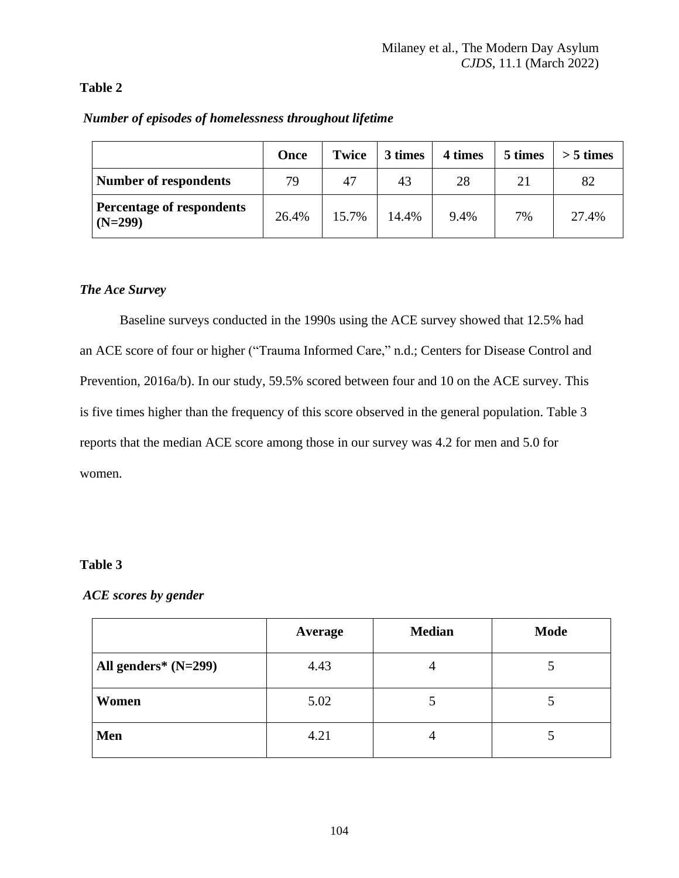# **Table 2**

|                                        | Once  | <b>Twice</b> | 3 times | 4 times | 5 times | $> 5 \times$ |
|----------------------------------------|-------|--------------|---------|---------|---------|--------------|
| <b>Number of respondents</b>           | 79    | 47           | 43      | 28      | 21      | 82           |
| Percentage of respondents<br>$(N=299)$ | 26.4% | 15.7%        | 14.4%   | 9.4%    | 7%      | 27.4%        |

# *Number of episodes of homelessness throughout lifetime*

# *The Ace Survey*

Baseline surveys conducted in the 1990s using the ACE survey showed that 12.5% had an ACE score of four or higher ("Trauma Informed Care," n.d.; Centers for Disease Control and Prevention, 2016a/b). In our study, 59.5% scored between four and 10 on the ACE survey. This is five times higher than the frequency of this score observed in the general population. Table 3 reports that the median ACE score among those in our survey was 4.2 for men and 5.0 for women.

# **Table 3**

# *ACE scores by gender*

|                        | Average | <b>Median</b> | <b>Mode</b> |
|------------------------|---------|---------------|-------------|
| All genders* $(N=299)$ | 4.43    |               |             |
| Women                  | 5.02    |               |             |
| Men                    | 4.21    |               |             |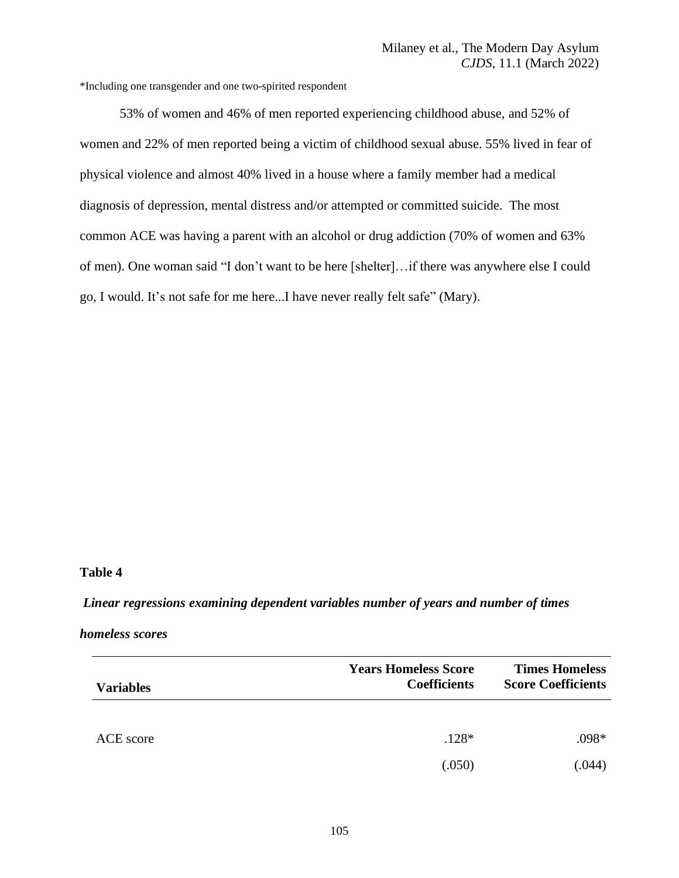\*Including one transgender and one two-spirited respondent

53% of women and 46% of men reported experiencing childhood abuse, and 52% of women and 22% of men reported being a victim of childhood sexual abuse. 55% lived in fear of physical violence and almost 40% lived in a house where a family member had a medical diagnosis of depression, mental distress and/or attempted or committed suicide. The most common ACE was having a parent with an alcohol or drug addiction (70% of women and 63% of men). One woman said "I don't want to be here [shelter]…if there was anywhere else I could go, I would. It's not safe for me here...I have never really felt safe" (Mary).

## **Table 4**

#### *Linear regressions examining dependent variables number of years and number of times*

#### *homeless scores*

| <b>Variables</b> | <b>Years Homeless Score</b><br><b>Coefficients</b> | <b>Times Homeless</b><br><b>Score Coefficients</b> |
|------------------|----------------------------------------------------|----------------------------------------------------|
| ACE score        | $.128*$                                            | .098*                                              |
|                  | (.050)                                             | (.044)                                             |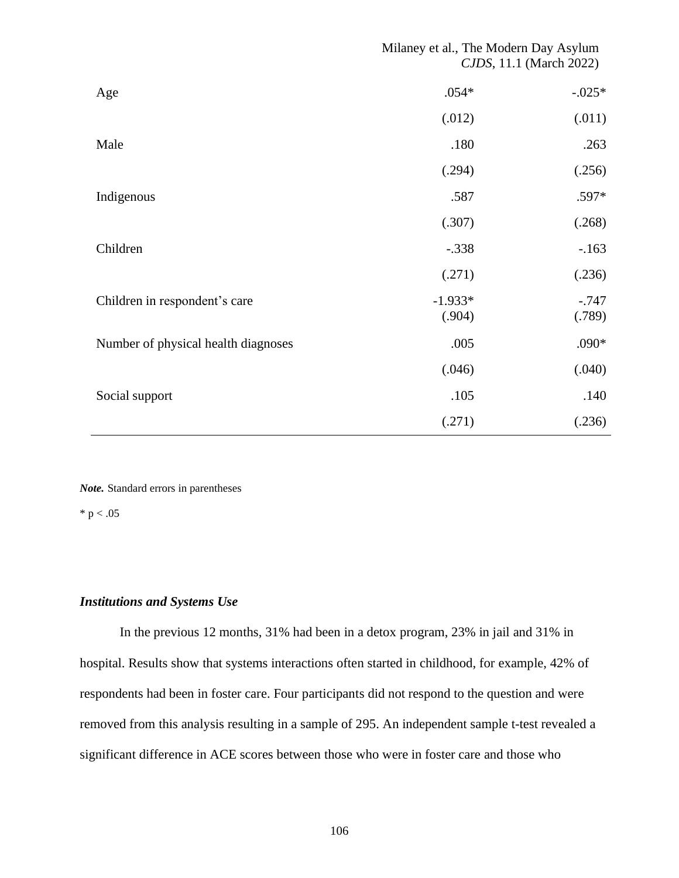## Milaney et al., The Modern Day Asylum *CJDS*, 11.1 (March 2022)

| Age                                 | $.054*$             | $-0.025*$          |
|-------------------------------------|---------------------|--------------------|
|                                     | (.012)              | (.011)             |
| Male                                | .180                | .263               |
|                                     | (.294)              | (.256)             |
| Indigenous                          | .587                | .597*              |
|                                     | (.307)              | (.268)             |
| Children                            | $-.338$             | $-.163$            |
|                                     | (.271)              | (.236)             |
| Children in respondent's care       | $-1.933*$<br>(.904) | $-0.747$<br>(.789) |
| Number of physical health diagnoses | .005                | .090*              |
|                                     | (.046)              | (.040)             |
| Social support                      | .105                | .140               |
|                                     | (.271)              | (.236)             |

*Note.* Standard errors in parentheses

 $*$  p  $< .05$ 

# *Institutions and Systems Use*

In the previous 12 months, 31% had been in a detox program, 23% in jail and 31% in hospital. Results show that systems interactions often started in childhood, for example, 42% of respondents had been in foster care. Four participants did not respond to the question and were removed from this analysis resulting in a sample of 295. An independent sample t-test revealed a significant difference in ACE scores between those who were in foster care and those who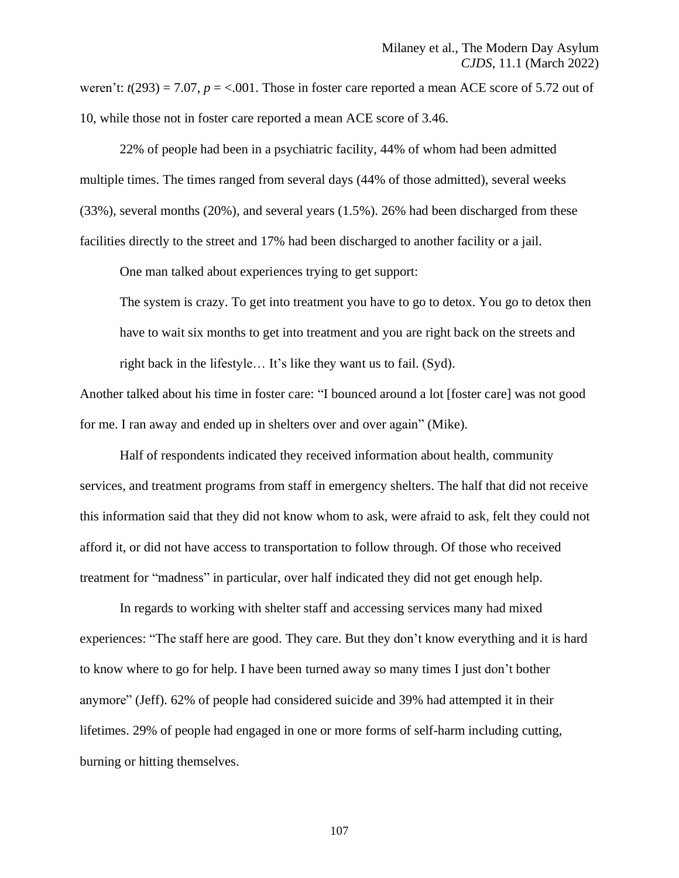weren't:  $t(293) = 7.07$ ,  $p = <.001$ . Those in foster care reported a mean ACE score of 5.72 out of 10, while those not in foster care reported a mean ACE score of 3.46.

22% of people had been in a psychiatric facility, 44% of whom had been admitted multiple times. The times ranged from several days (44% of those admitted), several weeks (33%), several months (20%), and several years (1.5%). 26% had been discharged from these facilities directly to the street and 17% had been discharged to another facility or a jail.

One man talked about experiences trying to get support:

The system is crazy. To get into treatment you have to go to detox. You go to detox then have to wait six months to get into treatment and you are right back on the streets and right back in the lifestyle… It's like they want us to fail. (Syd).

Another talked about his time in foster care: "I bounced around a lot [foster care] was not good for me. I ran away and ended up in shelters over and over again" (Mike).

Half of respondents indicated they received information about health, community services, and treatment programs from staff in emergency shelters. The half that did not receive this information said that they did not know whom to ask, were afraid to ask, felt they could not afford it, or did not have access to transportation to follow through. Of those who received treatment for "madness" in particular, over half indicated they did not get enough help.

In regards to working with shelter staff and accessing services many had mixed experiences: "The staff here are good. They care. But they don't know everything and it is hard to know where to go for help. I have been turned away so many times I just don't bother anymore" (Jeff). 62% of people had considered suicide and 39% had attempted it in their lifetimes. 29% of people had engaged in one or more forms of self-harm including cutting, burning or hitting themselves.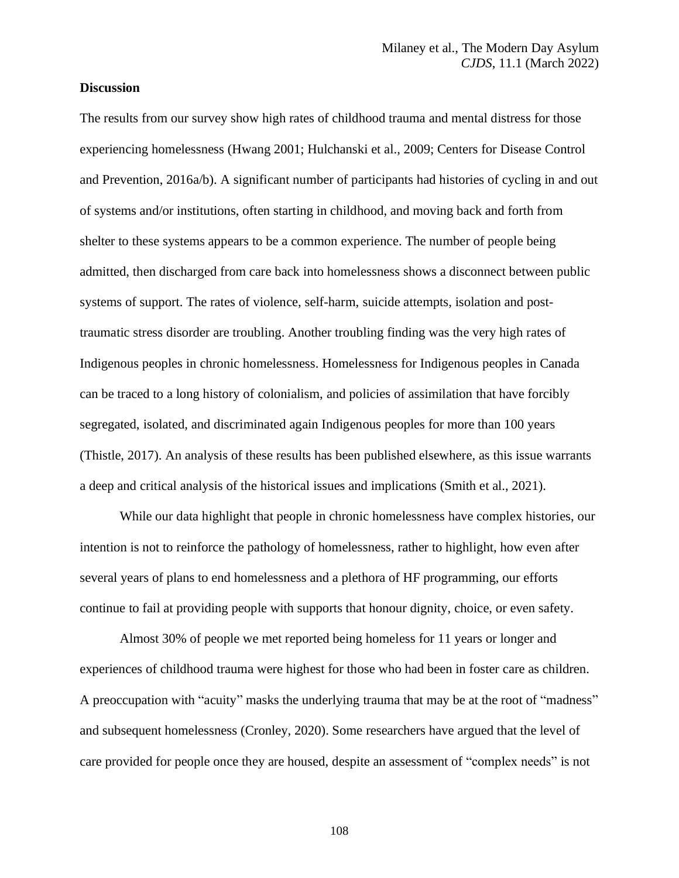## **Discussion**

The results from our survey show high rates of childhood trauma and mental distress for those experiencing homelessness (Hwang 2001; Hulchanski et al., 2009; Centers for Disease Control and Prevention, 2016a/b). A significant number of participants had histories of cycling in and out of systems and/or institutions, often starting in childhood, and moving back and forth from shelter to these systems appears to be a common experience. The number of people being admitted, then discharged from care back into homelessness shows a disconnect between public systems of support. The rates of violence, self-harm, suicide attempts, isolation and posttraumatic stress disorder are troubling. Another troubling finding was the very high rates of Indigenous peoples in chronic homelessness. Homelessness for Indigenous peoples in Canada can be traced to a long history of colonialism, and policies of assimilation that have forcibly segregated, isolated, and discriminated again Indigenous peoples for more than 100 years (Thistle, 2017). An analysis of these results has been published elsewhere, as this issue warrants a deep and critical analysis of the historical issues and implications (Smith et al., 2021).

While our data highlight that people in chronic homelessness have complex histories, our intention is not to reinforce the pathology of homelessness, rather to highlight, how even after several years of plans to end homelessness and a plethora of HF programming, our efforts continue to fail at providing people with supports that honour dignity, choice, or even safety.

Almost 30% of people we met reported being homeless for 11 years or longer and experiences of childhood trauma were highest for those who had been in foster care as children. A preoccupation with "acuity" masks the underlying trauma that may be at the root of "madness" and subsequent homelessness (Cronley, 2020). Some researchers have argued that the level of care provided for people once they are housed, despite an assessment of "complex needs" is not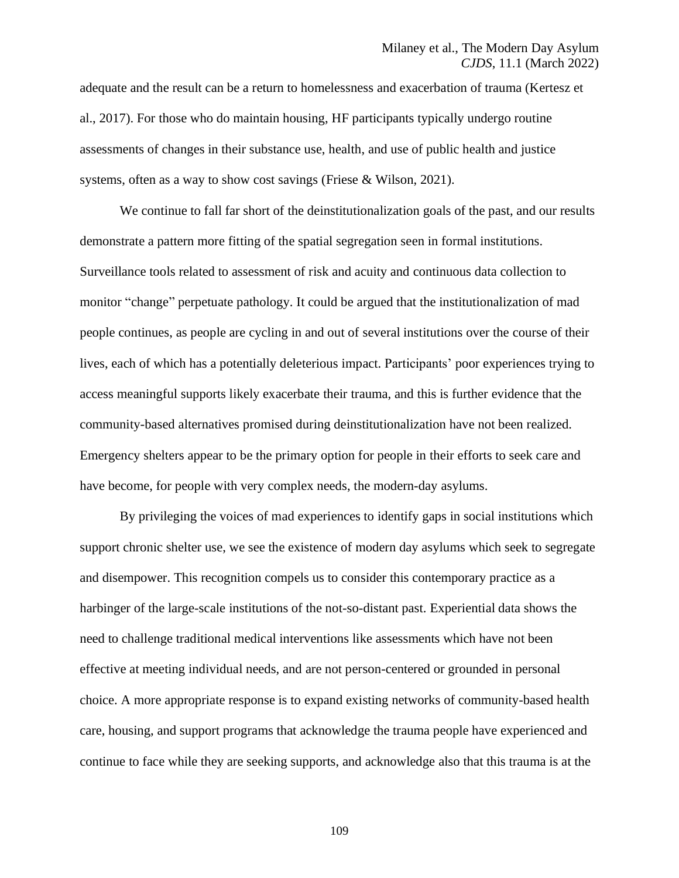adequate and the result can be a return to homelessness and exacerbation of trauma (Kertesz et al., 2017). For those who do maintain housing, HF participants typically undergo routine assessments of changes in their substance use, health, and use of public health and justice systems, often as a way to show cost savings (Friese & Wilson, 2021).

We continue to fall far short of the deinstitutionalization goals of the past, and our results demonstrate a pattern more fitting of the spatial segregation seen in formal institutions. Surveillance tools related to assessment of risk and acuity and continuous data collection to monitor "change" perpetuate pathology. It could be argued that the institutionalization of mad people continues, as people are cycling in and out of several institutions over the course of their lives, each of which has a potentially deleterious impact. Participants' poor experiences trying to access meaningful supports likely exacerbate their trauma, and this is further evidence that the community-based alternatives promised during deinstitutionalization have not been realized. Emergency shelters appear to be the primary option for people in their efforts to seek care and have become, for people with very complex needs, the modern-day asylums.

By privileging the voices of mad experiences to identify gaps in social institutions which support chronic shelter use, we see the existence of modern day asylums which seek to segregate and disempower. This recognition compels us to consider this contemporary practice as a harbinger of the large-scale institutions of the not-so-distant past. Experiential data shows the need to challenge traditional medical interventions like assessments which have not been effective at meeting individual needs, and are not person-centered or grounded in personal choice. A more appropriate response is to expand existing networks of community-based health care, housing, and support programs that acknowledge the trauma people have experienced and continue to face while they are seeking supports, and acknowledge also that this trauma is at the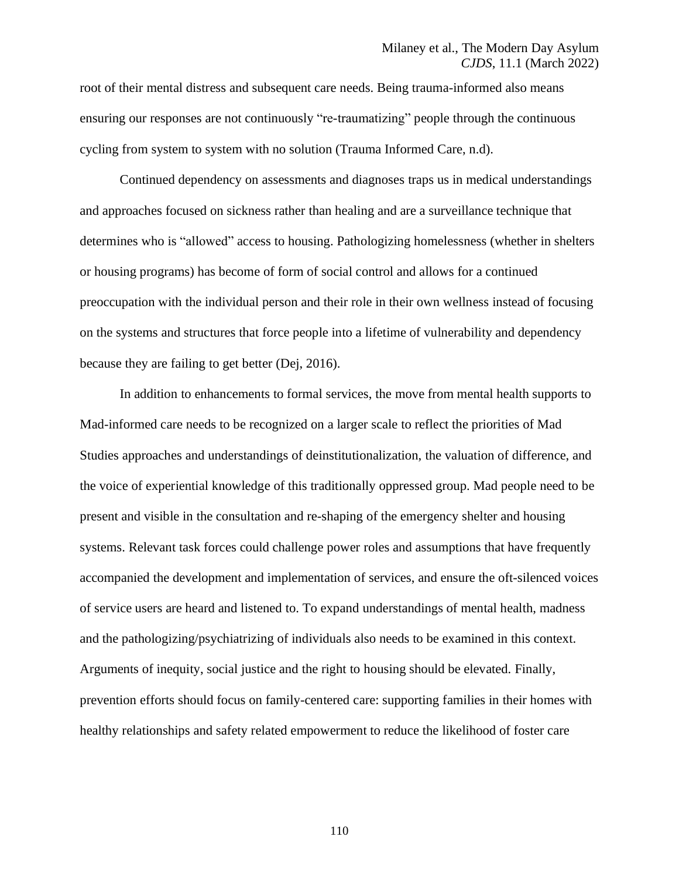root of their mental distress and subsequent care needs. Being trauma-informed also means ensuring our responses are not continuously "re-traumatizing" people through the continuous cycling from system to system with no solution (Trauma Informed Care, n.d).

Continued dependency on assessments and diagnoses traps us in medical understandings and approaches focused on sickness rather than healing and are a surveillance technique that determines who is "allowed" access to housing. Pathologizing homelessness (whether in shelters or housing programs) has become of form of social control and allows for a continued preoccupation with the individual person and their role in their own wellness instead of focusing on the systems and structures that force people into a lifetime of vulnerability and dependency because they are failing to get better (Dej, 2016).

In addition to enhancements to formal services, the move from mental health supports to Mad-informed care needs to be recognized on a larger scale to reflect the priorities of Mad Studies approaches and understandings of deinstitutionalization, the valuation of difference, and the voice of experiential knowledge of this traditionally oppressed group. Mad people need to be present and visible in the consultation and re-shaping of the emergency shelter and housing systems. Relevant task forces could challenge power roles and assumptions that have frequently accompanied the development and implementation of services, and ensure the oft-silenced voices of service users are heard and listened to. To expand understandings of mental health, madness and the pathologizing/psychiatrizing of individuals also needs to be examined in this context. Arguments of inequity, social justice and the right to housing should be elevated. Finally, prevention efforts should focus on family-centered care: supporting families in their homes with healthy relationships and safety related empowerment to reduce the likelihood of foster care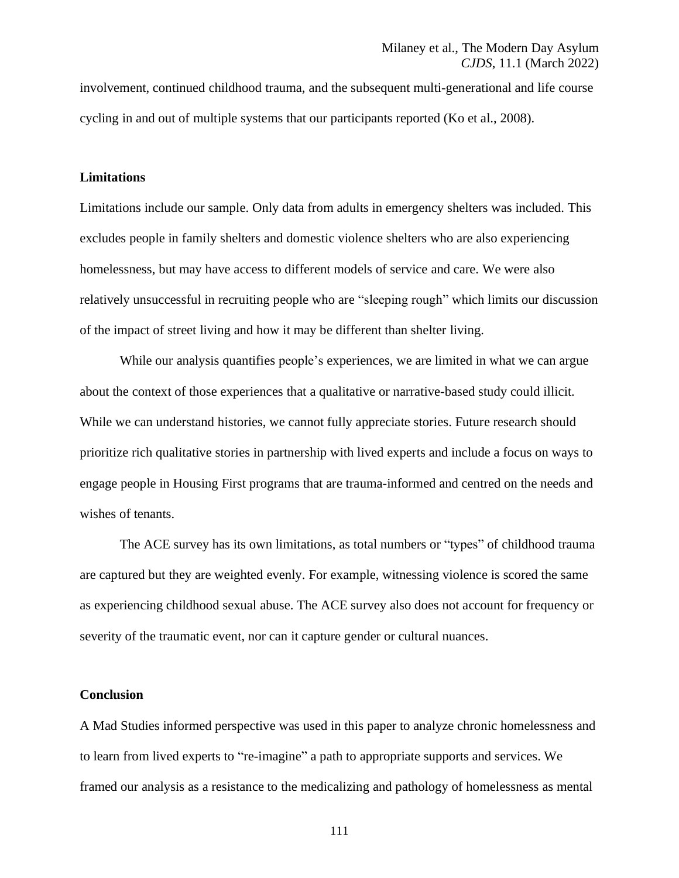involvement, continued childhood trauma, and the subsequent multi-generational and life course cycling in and out of multiple systems that our participants reported (Ko et al., 2008).

## **Limitations**

Limitations include our sample. Only data from adults in emergency shelters was included. This excludes people in family shelters and domestic violence shelters who are also experiencing homelessness, but may have access to different models of service and care. We were also relatively unsuccessful in recruiting people who are "sleeping rough" which limits our discussion of the impact of street living and how it may be different than shelter living.

While our analysis quantifies people's experiences, we are limited in what we can argue about the context of those experiences that a qualitative or narrative-based study could illicit. While we can understand histories, we cannot fully appreciate stories. Future research should prioritize rich qualitative stories in partnership with lived experts and include a focus on ways to engage people in Housing First programs that are trauma-informed and centred on the needs and wishes of tenants.

The ACE survey has its own limitations, as total numbers or "types" of childhood trauma are captured but they are weighted evenly. For example, witnessing violence is scored the same as experiencing childhood sexual abuse. The ACE survey also does not account for frequency or severity of the traumatic event, nor can it capture gender or cultural nuances.

## **Conclusion**

A Mad Studies informed perspective was used in this paper to analyze chronic homelessness and to learn from lived experts to "re-imagine" a path to appropriate supports and services. We framed our analysis as a resistance to the medicalizing and pathology of homelessness as mental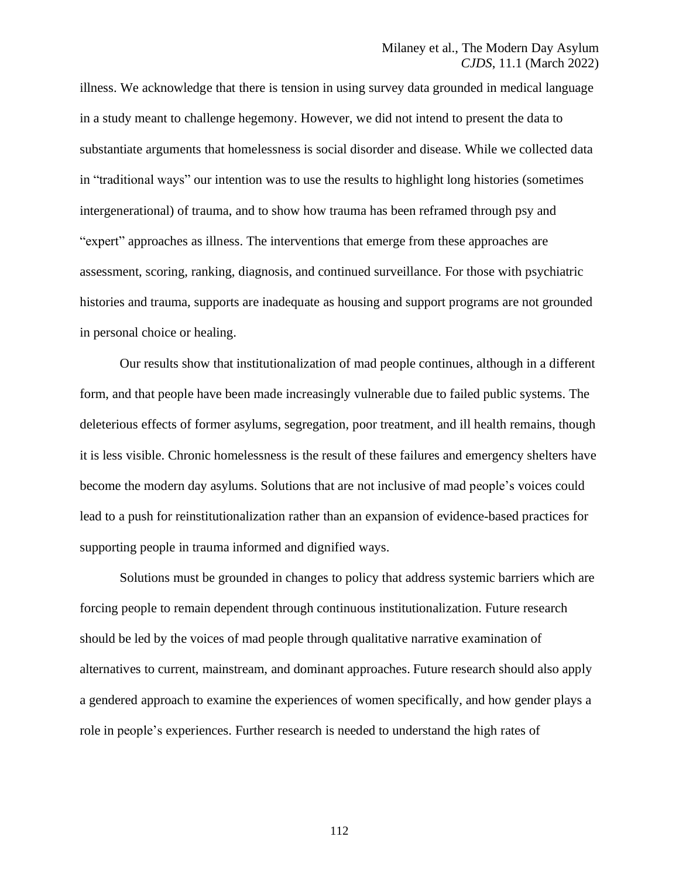## Milaney et al., The Modern Day Asylum *CJDS*, 11.1 (March 2022)

illness. We acknowledge that there is tension in using survey data grounded in medical language in a study meant to challenge hegemony. However, we did not intend to present the data to substantiate arguments that homelessness is social disorder and disease. While we collected data in "traditional ways" our intention was to use the results to highlight long histories (sometimes intergenerational) of trauma, and to show how trauma has been reframed through psy and "expert" approaches as illness. The interventions that emerge from these approaches are assessment, scoring, ranking, diagnosis, and continued surveillance. For those with psychiatric histories and trauma, supports are inadequate as housing and support programs are not grounded in personal choice or healing.

Our results show that institutionalization of mad people continues, although in a different form, and that people have been made increasingly vulnerable due to failed public systems. The deleterious effects of former asylums, segregation, poor treatment, and ill health remains, though it is less visible. Chronic homelessness is the result of these failures and emergency shelters have become the modern day asylums. Solutions that are not inclusive of mad people's voices could lead to a push for reinstitutionalization rather than an expansion of evidence-based practices for supporting people in trauma informed and dignified ways.

Solutions must be grounded in changes to policy that address systemic barriers which are forcing people to remain dependent through continuous institutionalization. Future research should be led by the voices of mad people through qualitative narrative examination of alternatives to current, mainstream, and dominant approaches. Future research should also apply a gendered approach to examine the experiences of women specifically, and how gender plays a role in people's experiences. Further research is needed to understand the high rates of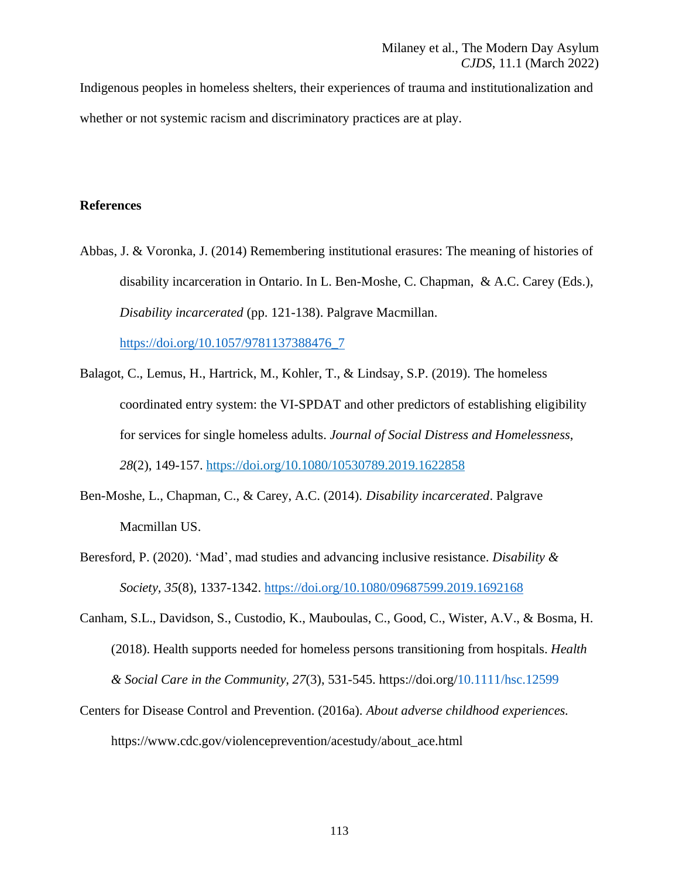Indigenous peoples in homeless shelters, their experiences of trauma and institutionalization and whether or not systemic racism and discriminatory practices are at play.

## **References**

Abbas, J. & Voronka, J. (2014) Remembering institutional erasures: The meaning of histories of disability incarceration in Ontario. In L. Ben-Moshe, C. Chapman, & A.C. Carey (Eds.), *Disability incarcerated* (pp. 121-138). Palgrave Macmillan.

[https://doi.org/10.1057/9781137388476\\_7](https://doi.org/10.1057/9781137388476_7)

- Balagot, C., Lemus, H., Hartrick, M., Kohler, T., & Lindsay, S.P. (2019). The homeless coordinated entry system: the VI-SPDAT and other predictors of establishing eligibility for services for single homeless adults. *Journal of Social Distress and Homelessness*, *28*(2), 149-157. <https://doi.org/10.1080/10530789.2019.1622858>
- Ben-Moshe, L., Chapman, C., & Carey, A.C. (2014). *Disability incarcerated*. Palgrave Macmillan US.
- Beresford, P. (2020). 'Mad', mad studies and advancing inclusive resistance. *Disability & Society, 35*(8), 1337-1342. <https://doi.org/10.1080/09687599.2019.1692168>
- Canham, S.L., Davidson, S., Custodio, K., Mauboulas, C., Good, C., Wister, A.V., & Bosma, H. (2018). Health supports needed for homeless persons transitioning from hospitals. *Health & Social Care in the Community, 27*(3), 531-545. https://doi.org[/10.1111/hsc.12599](https://doi.org/10.1111/hsc.12599)
- Centers for Disease Control and Prevention. (2016a). *About adverse childhood experiences.* https://www.cdc.gov/violenceprevention/acestudy/about\_ace.html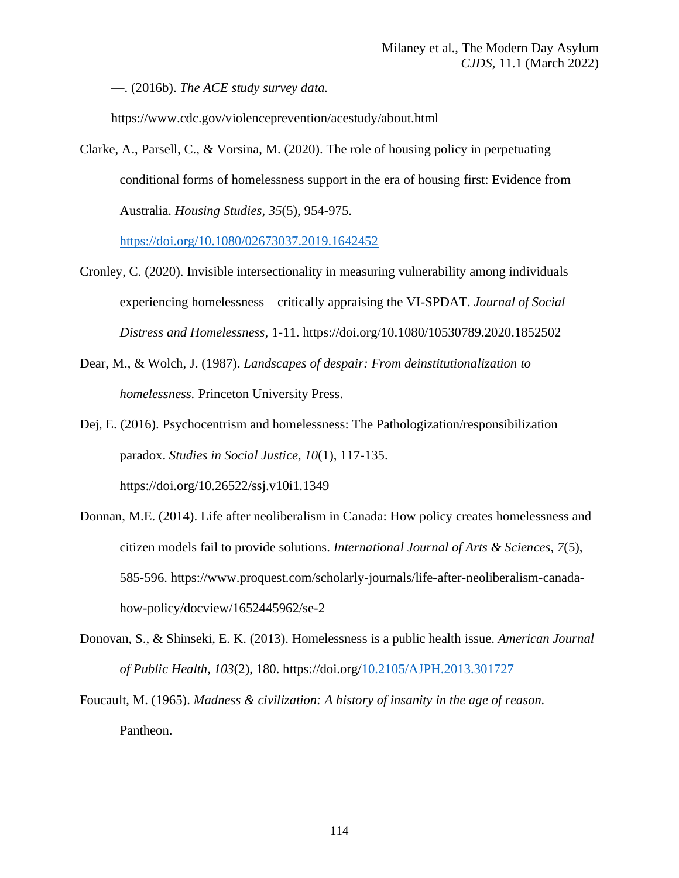—. (2016b). *The ACE study survey data.*

https://www.cdc.gov/violenceprevention/acestudy/about.html

Clarke, A., Parsell, C., & Vorsina, M. (2020). The role of housing policy in perpetuating conditional forms of homelessness support in the era of housing first: Evidence from Australia. *Housing Studies, 35*(5), 954-975.

<https://doi.org/10.1080/02673037.2019.1642452>

- Cronley, C. (2020). Invisible [intersectionality](https://www.tandfonline.com/doi/abs/10.1080/10530789.2020.1852502) in measuring vulnerability among individuals experiencing [homelessness](https://www.tandfonline.com/doi/abs/10.1080/10530789.2020.1852502) – critically appraising the VI-SPDAT. *Journal of Social Distress and Homelessness,* 1-11. https://doi.org/10.1080/10530789.2020.1852502
- Dear, M., & Wolch, J. (1987). *Landscapes of despair: From deinstitutionalization to homelessness.* Princeton University Press.
- Dej, E. (2016). Psychocentrism and homelessness: The Pathologization/responsibilization paradox. *Studies in Social Justice, 10*(1), 117-135. https://doi.org/10.26522/ssj.v10i1.1349
- Donnan, M.E. (2014). Life after neoliberalism in Canada: How policy creates homelessness and citizen models fail to provide solutions. *International Journal of Arts & Sciences, 7*(5), 585-596. https://www.proquest.com/scholarly-journals/life-after-neoliberalism-canadahow-policy/docview/1652445962/se-2
- Donovan, S., & Shinseki, E. K. (2013). Homelessness is a public health issue. *American Journal of Public Health, 103*(2), 180. https://doi.org[/10.2105/AJPH.2013.301727](https://dx.doi.org/10.2105%252FAJPH.2013.301727)
- Foucault, M. (1965). *Madness & civilization: A history of insanity in the age of reason.* Pantheon.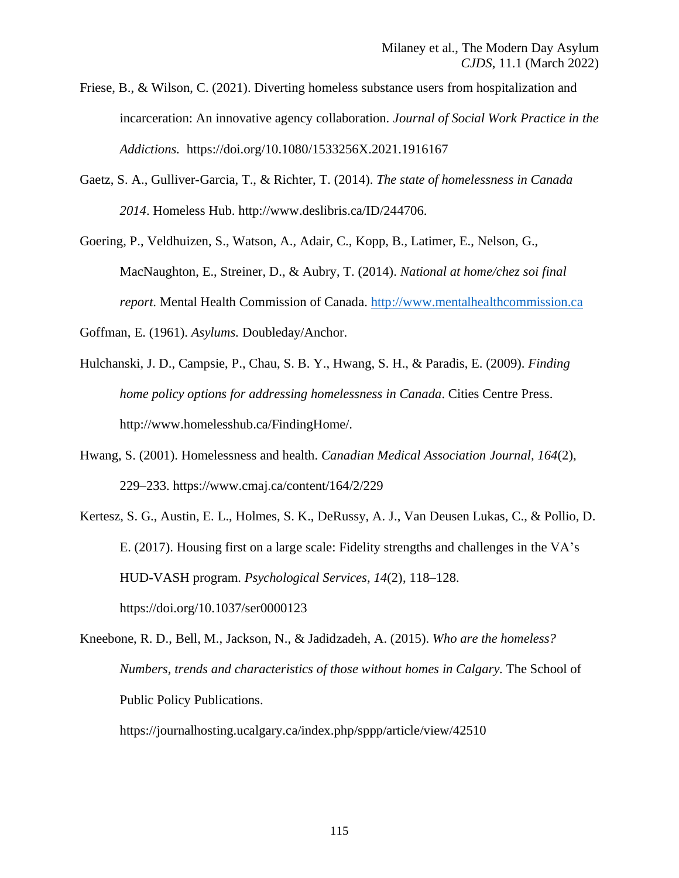- Friese, B., & Wilson, C. (2021). Diverting homeless substance users from hospitalization and incarceration: An innovative agency collaboration. *Journal of Social Work Practice in the Addictions.* https://doi.org/10.1080/1533256X.2021.1916167
- Gaetz, S. A., Gulliver-Garcia, T., & Richter, T. (2014). *The state of homelessness in Canada 2014*. Homeless Hub. http://www.deslibris.ca/ID/244706.
- Goering, P., Veldhuizen, S., Watson, A., Adair, C., Kopp, B., Latimer, E., Nelson, G., MacNaughton, E., Streiner, D., & Aubry, T. (2014). *National at home/chez soi final report*. Mental Health Commission of Canada. [http://www.mentalhealthcommission.ca](http://www.mentalhealthcommission.ca/)
- Goffman, E. (1961). *Asylums.* Doubleday/Anchor.
- Hulchanski, J. D., Campsie, P., Chau, S. B. Y., Hwang, S. H., & Paradis, E. (2009). *Finding home policy options for addressing homelessness in Canada*. Cities Centre Press. http://www.homelesshub.ca/FindingHome/.
- Hwang, S. (2001). Homelessness and health. *Canadian Medical Association Journal, 164*(2), 229–233. https://www.cmaj.ca/content/164/2/229
- Kertesz, S. G., Austin, E. L., Holmes, S. K., DeRussy, A. J., Van Deusen Lukas, C., & Pollio, D. E. (2017). Housing first on a large scale: Fidelity strengths and challenges in the VA's HUD-VASH program. *Psychological Services, 14*(2), 118–128. https://doi.org/10.1037/ser0000123
- Kneebone, R. D., Bell, M., Jackson, N., & Jadidzadeh, A. (2015). *Who are the homeless? Numbers, trends and characteristics of those without homes in Calgary.* The School of Public Policy Publications.

https://journalhosting.ucalgary.ca/index.php/sppp/article/view/42510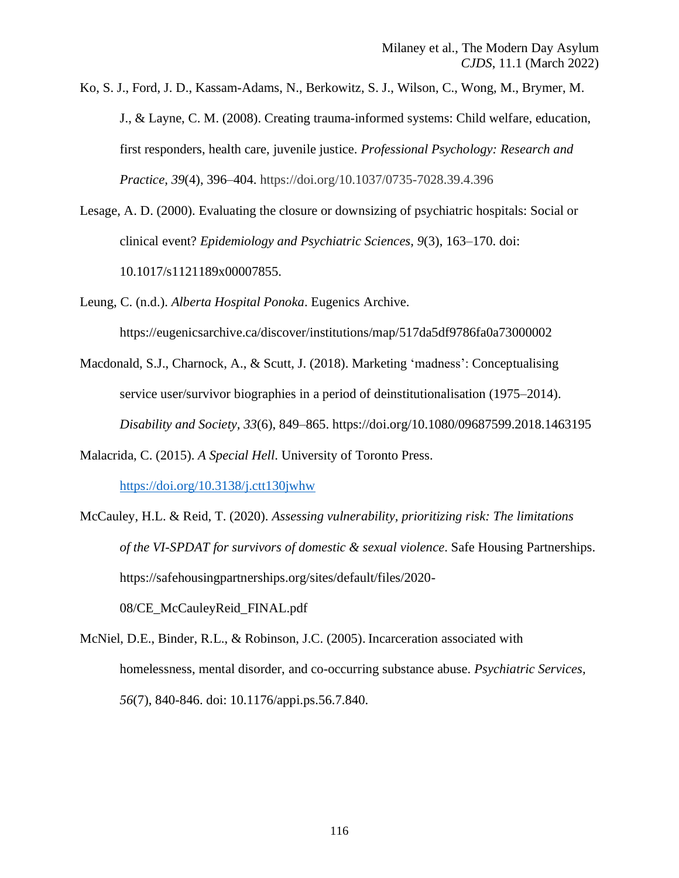Ko, S. J., Ford, J. D., Kassam-Adams, N., Berkowitz, S. J., Wilson, C., Wong, M., Brymer, M. J., & Layne, C. M. (2008). Creating trauma-informed systems: Child welfare, education, first responders, health care, juvenile justice. *Professional Psychology: Research and Practice, 39*(4), 396–404. https://doi.org/10.1037/0735-7028.39.4.396

- Lesage, A. D. (2000). Evaluating the closure or downsizing of psychiatric hospitals: Social or clinical event? *Epidemiology and Psychiatric Sciences, 9*(3), 163–170. doi: 10.1017/s1121189x00007855.
- Leung, C. (n.d.). *Alberta Hospital Ponoka*. Eugenics Archive. https://eugenicsarchive.ca/discover/institutions/map/517da5df9786fa0a73000002
- Macdonald, S.J., Charnock, A., & Scutt, J. (2018). Marketing 'madness': Conceptualising service user/survivor biographies in a period of deinstitutionalisation (1975–2014). *Disability and Society, 33*(6), 849–865. https://doi.org/10.1080/09687599.2018.1463195
- Malacrida, C. (2015). *A Special Hell*. University of Toronto Press.

<https://doi.org/10.3138/j.ctt130jwhw>

McCauley, H.L. & Reid, T. (2020). *Assessing vulnerability, prioritizing risk: The limitations of the VI-SPDAT for survivors of domestic & sexual violence*. Safe Housing Partnerships. https://safehousingpartnerships.org/sites/default/files/2020-

08/CE\_McCauleyReid\_FINAL.pdf

McNiel, D.E., Binder, R.L., & Robinson, J.C. (2005). Incarceration associated with homelessness, mental disorder, and co-occurring substance abuse. *Psychiatric Services, 56*(7), 840-846. doi: 10.1176/appi.ps.56.7.840.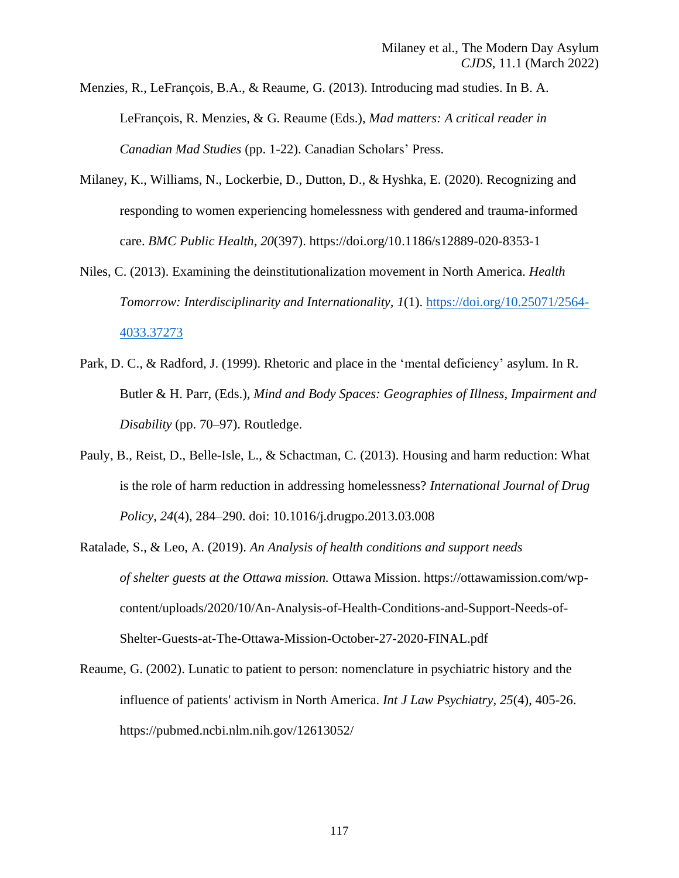Menzies, R., LeFrançois, B.A., & Reaume, G. (2013). Introducing mad studies. In B. A. LeFrançois, R. Menzies, & G. Reaume (Eds.), *Mad matters: A critical reader in Canadian Mad Studies* (pp. 1-22). Canadian Scholars' Press.

- Milaney, K., Williams, N., Lockerbie, D., Dutton, D., & Hyshka, E. (2020). Recognizing and responding to women experiencing homelessness with gendered and trauma-informed care. *BMC Public Health, 20*(397). https://doi.org/10.1186/s12889-020-8353-1
- Niles, C. (2013). Examining the deinstitutionalization movement in North America. *Health Tomorrow: Interdisciplinarity and Internationality, 1*(1). [https://doi.org/10.25071/2564-](https://doi.org/10.25071/2564-4033.37273) [4033.37273](https://doi.org/10.25071/2564-4033.37273)
- Park, D. C., & Radford, J. (1999). Rhetoric and place in the 'mental deficiency' asylum. In R. Butler & H. Parr, (Eds.), *Mind and Body Spaces: Geographies of Illness, Impairment and Disability* (pp. 70–97). Routledge.
- Pauly, B., Reist, D., Belle-Isle, L., & Schactman, C. (2013). Housing and harm reduction: What is the role of harm reduction in addressing homelessness? *International Journal of Drug Policy, 24*(4), 284–290. doi: 10.1016/j.drugpo.2013.03.008
- Ratalade, S., & Leo, A. (2019). *An Analysis of health conditions and support needs of shelter guests at the Ottawa mission.* Ottawa Mission. https://ottawamission.com/wpcontent/uploads/2020/10/An-Analysis-of-Health-Conditions-and-Support-Needs-of-Shelter-Guests-at-The-Ottawa-Mission-October-27-2020-FINAL.pdf
- Reaume, G. (2002). Lunatic to patient to person: nomenclature in psychiatric history and the influence of patients' activism in North America. *Int J Law Psychiatry, 25*(4), 405-26. https://pubmed.ncbi.nlm.nih.gov/12613052/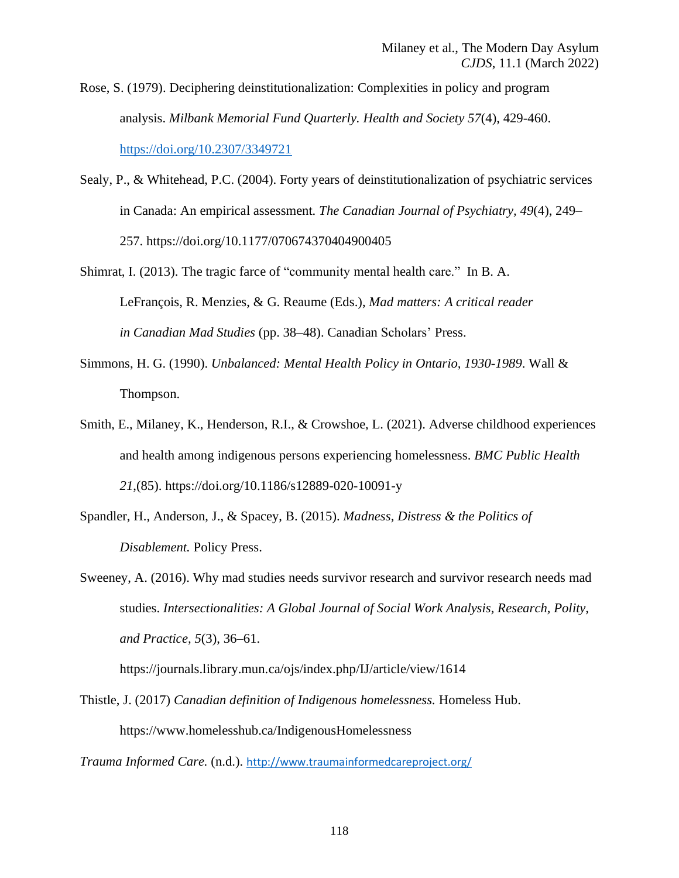Rose, S. (1979). Deciphering deinstitutionalization: Complexities in policy and program analysis. *Milbank Memorial Fund Quarterly. Health and Society 57*(4), 429-460. <https://doi.org/10.2307/3349721>

- Sealy, P., & Whitehead, P.C. (2004). Forty years of deinstitutionalization of psychiatric services in Canada: An empirical assessment. *The Canadian Journal of Psychiatry, 49*(4), 249– 257. https://doi.org/10.1177/070674370404900405
- Shimrat, I. (2013). The tragic farce of "community mental health care." In B. A. LeFrançois, R. Menzies, & G. Reaume (Eds.), *Mad matters: A critical reader in Canadian Mad Studies* (pp. 38–48). Canadian Scholars' Press.
- Simmons, H. G. (1990). *Unbalanced: Mental Health Policy in Ontario, 1930-1989*. Wall & Thompson.
- Smith, E., Milaney, K., Henderson, R.I., & Crowshoe, L. (2021). Adverse childhood experiences and health among indigenous persons experiencing homelessness. *BMC Public Health 21*,(85). https://doi.org/10.1186/s12889-020-10091-y
- Spandler, H., Anderson, J., & Spacey, B. (2015). *Madness, Distress & the Politics of Disablement.* Policy Press.

Sweeney, A. (2016). Why mad studies needs survivor research and survivor research needs mad studies. *Intersectionalities: A Global Journal of Social Work Analysis, Research, Polity, and Practice, 5*(3), 36–61.

https://journals.library.mun.ca/ojs/index.php/IJ/article/view/1614

Thistle, J. (2017) *Canadian definition of Indigenous homelessness.* Homeless Hub. https://www.homelesshub.ca/IndigenousHomelessness

*Trauma Informed Care.* (n.d.). <http://www.traumainformedcareproject.org/>